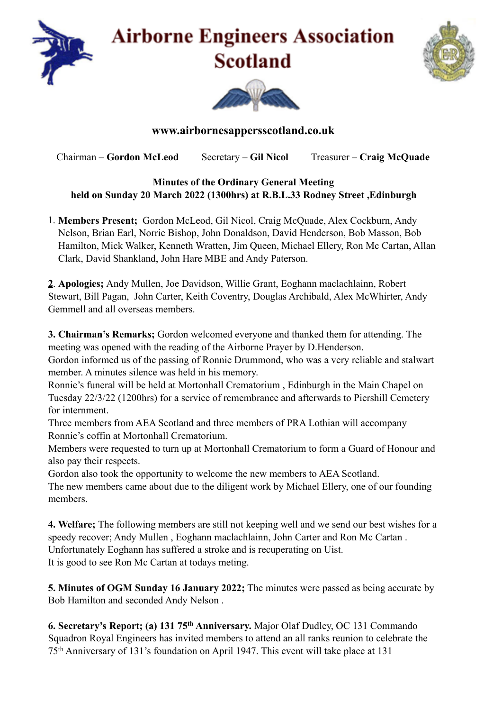

## **Airborne Engineers Association Scotland**





## **www.airbornesappersscotland.co.uk**

Chairman – **Gordon McLeod** Secretary – **Gil Nicol** Treasurer – **Craig McQuade** 

## **Minutes of the Ordinary General Meeting held on Sunday 20 March 2022 (1300hrs) at R.B.L.33 Rodney Street ,Edinburgh**

1. **Members Present;** Gordon McLeod, Gil Nicol, Craig McQuade, Alex Cockburn, Andy Nelson, Brian Earl, Norrie Bishop, John Donaldson, David Henderson, Bob Masson, Bob Hamilton, Mick Walker, Kenneth Wratten, Jim Queen, Michael Ellery, Ron Mc Cartan, Allan Clark, David Shankland, John Hare MBE and Andy Paterson.

**2**. **Apologies;** Andy Mullen, Joe Davidson, Willie Grant, Eoghann maclachlainn, Robert Stewart, Bill Pagan, John Carter, Keith Coventry, Douglas Archibald, Alex McWhirter, Andy Gemmell and all overseas members.

**3. Chairman's Remarks;** Gordon welcomed everyone and thanked them for attending. The meeting was opened with the reading of the Airborne Prayer by D.Henderson.

Gordon informed us of the passing of Ronnie Drummond, who was a very reliable and stalwart member. A minutes silence was held in his memory.

Ronnie's funeral will be held at Mortonhall Crematorium , Edinburgh in the Main Chapel on Tuesday 22/3/22 (1200hrs) for a service of remembrance and afterwards to Piershill Cemetery for internment.

Three members from AEA Scotland and three members of PRA Lothian will accompany Ronnie's coffin at Mortonhall Crematorium.

Members were requested to turn up at Mortonhall Crematorium to form a Guard of Honour and also pay their respects.

Gordon also took the opportunity to welcome the new members to AEA Scotland. The new members came about due to the diligent work by Michael Ellery, one of our founding members.

**4. Welfare;** The following members are still not keeping well and we send our best wishes for a speedy recover; Andy Mullen , Eoghann maclachlainn, John Carter and Ron Mc Cartan . Unfortunately Eoghann has suffered a stroke and is recuperating on Uist. It is good to see Ron Mc Cartan at todays meting.

**5. Minutes of OGM Sunday 16 January 2022;** The minutes were passed as being accurate by Bob Hamilton and seconded Andy Nelson .

**6. Secretary's Report; (a) 131 75th Anniversary.** Major Olaf Dudley, OC 131 Commando Squadron Royal Engineers has invited members to attend an all ranks reunion to celebrate the 75th Anniversary of 131's foundation on April 1947. This event will take place at 131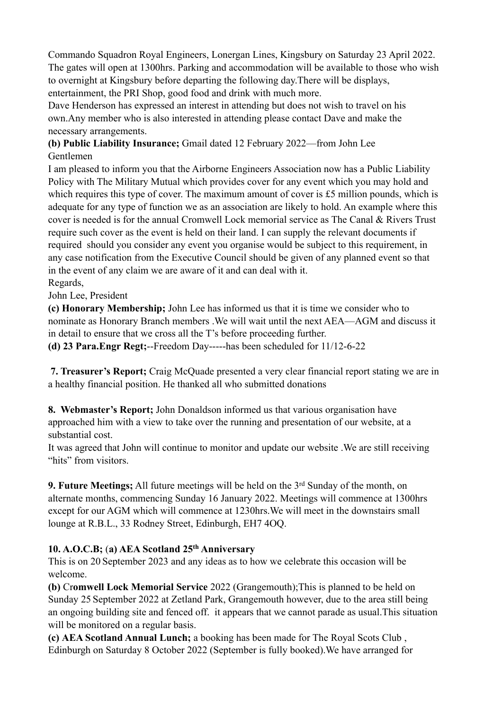Commando Squadron Royal Engineers, Lonergan Lines, Kingsbury on Saturday 23 April 2022. The gates will open at 1300hrs. Parking and accommodation will be available to those who wish to overnight at Kingsbury before departing the following day.There will be displays, entertainment, the PRI Shop, good food and drink with much more.

Dave Henderson has expressed an interest in attending but does not wish to travel on his own.Any member who is also interested in attending please contact Dave and make the necessary arrangements.

**(b) Public Liability Insurance;** Gmail dated 12 February 2022—from John Lee Gentlemen

I am pleased to inform you that the Airborne Engineers Association now has a Public Liability Policy with The Military Mutual which provides cover for any event which you may hold and which requires this type of cover. The maximum amount of cover is £5 million pounds, which is adequate for any type of function we as an association are likely to hold. An example where this cover is needed is for the annual Cromwell Lock memorial service as The Canal & Rivers Trust require such cover as the event is held on their land. I can supply the relevant documents if required should you consider any event you organise would be subject to this requirement, in any case notification from the Executive Council should be given of any planned event so that in the event of any claim we are aware of it and can deal with it. Regards,

John Lee, President

**(c) Honorary Membership;** John Lee has informed us that it is time we consider who to nominate as Honorary Branch members .We will wait until the next AEA—AGM and discuss it in detail to ensure that we cross all the T's before proceeding further.

**(d) 23 Para.Engr Regt;**--Freedom Day-----has been scheduled for 11/12-6-22

 **7. Treasurer's Report;** Craig McQuade presented a very clear financial report stating we are in a healthy financial position. He thanked all who submitted donations

**8. Webmaster's Report;** John Donaldson informed us that various organisation have approached him with a view to take over the running and presentation of our website, at a substantial cost.

It was agreed that John will continue to monitor and update our website .We are still receiving "hits" from visitors.

**9. Future Meetings;** All future meetings will be held on the 3rd Sunday of the month, on alternate months, commencing Sunday 16 January 2022. Meetings will commence at 1300hrs except for our AGM which will commence at 1230hrs.We will meet in the downstairs small lounge at R.B.L., 33 Rodney Street, Edinburgh, EH7 4OQ.

## **10. A.O.C.B;** (**a) AEA Scotland 25th Anniversary**

This is on 20 September 2023 and any ideas as to how we celebrate this occasion will be welcome.

**(b)** Cr**omwell Lock Memorial Service** 2022 (Grangemouth);This is planned to be held on Sunday 25 September 2022 at Zetland Park, Grangemouth however, due to the area still being an ongoing building site and fenced off. it appears that we cannot parade as usual.This situation will be monitored on a regular basis.

**(c) AEA Scotland Annual Lunch;** a booking has been made for The Royal Scots Club , Edinburgh on Saturday 8 October 2022 (September is fully booked).We have arranged for